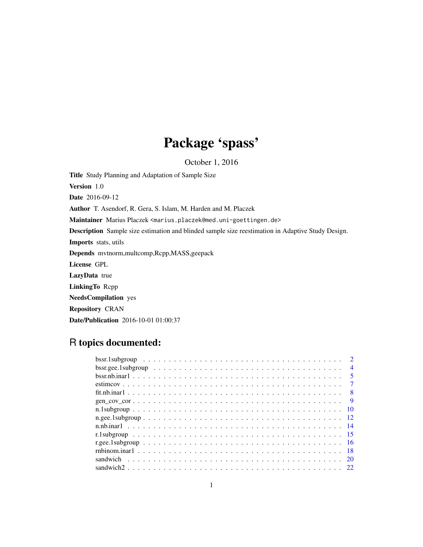# Package 'spass'

October 1, 2016

<span id="page-0-0"></span>Title Study Planning and Adaptation of Sample Size Version 1.0 Date 2016-09-12 Author T. Asendorf, R. Gera, S. Islam, M. Harden and M. Placzek Maintainer Marius Placzek <marius.placzek@med.uni-goettingen.de> Description Sample size estimation and blinded sample size reestimation in Adaptive Study Design. Imports stats, utils Depends mvtnorm,multcomp,Rcpp,MASS,geepack License GPL LazyData true LinkingTo Rcpp NeedsCompilation yes Repository CRAN Date/Publication 2016-10-01 01:00:37

# R topics documented:

| $\mathcal{D}$   |  |
|-----------------|--|
| $\overline{4}$  |  |
| $5\overline{)}$ |  |
|                 |  |
| $\overline{8}$  |  |
|                 |  |
|                 |  |
|                 |  |
|                 |  |
|                 |  |
|                 |  |
|                 |  |
|                 |  |
|                 |  |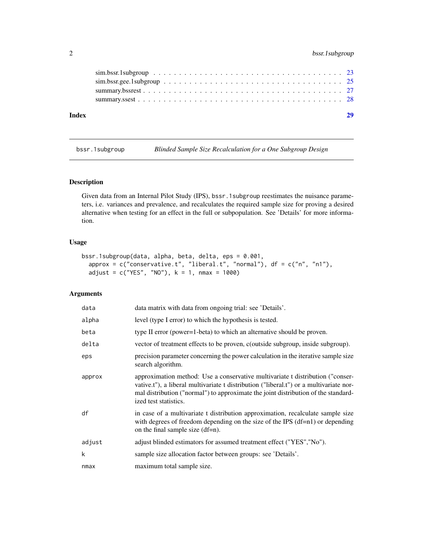# <span id="page-1-0"></span>2 bssr.1subgroup

| Index |  |  |  |  |  |  |  |  |  |  |  |  |  |  |  |  |  |
|-------|--|--|--|--|--|--|--|--|--|--|--|--|--|--|--|--|--|
|       |  |  |  |  |  |  |  |  |  |  |  |  |  |  |  |  |  |
|       |  |  |  |  |  |  |  |  |  |  |  |  |  |  |  |  |  |
|       |  |  |  |  |  |  |  |  |  |  |  |  |  |  |  |  |  |
|       |  |  |  |  |  |  |  |  |  |  |  |  |  |  |  |  |  |
|       |  |  |  |  |  |  |  |  |  |  |  |  |  |  |  |  |  |

<span id="page-1-1"></span>

bssr.1subgroup *Blinded Sample Size Recalculation for a One Subgroup Design*

# Description

Given data from an Internal Pilot Study (IPS), bssr.1subgroup reestimates the nuisance parameters, i.e. variances and prevalence, and recalculates the required sample size for proving a desired alternative when testing for an effect in the full or subpopulation. See 'Details' for more information.

#### Usage

```
bssr.1subgroup(data, alpha, beta, delta, eps = 0.001,
  approx = c("conservative.t", "liberal.t", "normal"), df = <math>c("n", "n1")</math>,adjust = c("YES", "NO"), k = 1, nmax = 1000)
```
# Arguments

| data   | data matrix with data from ongoing trial: see 'Details'.                                                                                                                                                                                                                                |
|--------|-----------------------------------------------------------------------------------------------------------------------------------------------------------------------------------------------------------------------------------------------------------------------------------------|
| alpha  | level (type I error) to which the hypothesis is tested.                                                                                                                                                                                                                                 |
| beta   | type II error (power=1-beta) to which an alternative should be proven.                                                                                                                                                                                                                  |
| delta  | vector of treatment effects to be proven, c(outside subgroup, inside subgroup).                                                                                                                                                                                                         |
| eps    | precision parameter concerning the power calculation in the iterative sample size<br>search algorithm.                                                                                                                                                                                  |
| approx | approximation method: Use a conservative multivariate t distribution ("conser-<br>vative.t"), a liberal multivariate t distribution ("liberal.t") or a multivariate nor-<br>mal distribution ("normal") to approximate the joint distribution of the standard-<br>ized test statistics. |
| df     | in case of a multivariate t distribution approximation, recalculate sample size<br>with degrees of freedom depending on the size of the IPS $(df=n1)$ or depending<br>on the final sample size (df=n).                                                                                  |
| adjust | adjust blinded estimators for assumed treatment effect ("YES", "No").                                                                                                                                                                                                                   |
| k      | sample size allocation factor between groups: see 'Details'.                                                                                                                                                                                                                            |
| nmax   | maximum total sample size.                                                                                                                                                                                                                                                              |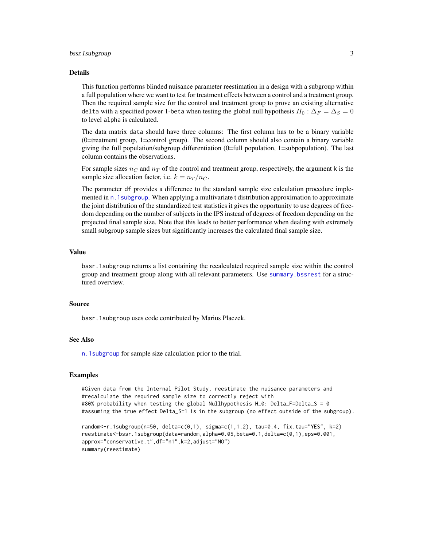#### <span id="page-2-0"></span>bssr.1subgroup 3

#### Details

This function performs blinded nuisance parameter reestimation in a design with a subgroup within a full population where we want to test for treatment effects between a control and a treatment group. Then the required sample size for the control and treatment group to prove an existing alternative delta with a specified power 1-beta when testing the global null hypothesis  $H_0$ :  $\Delta_F = \Delta_S = 0$ to level alpha is calculated.

The data matrix data should have three columns: The first column has to be a binary variable (0=treatment group, 1=control group). The second column should also contain a binary variable giving the full population/subgroup differentiation (0=full population, 1=subpopulation). The last column contains the observations.

For sample sizes  $n_C$  and  $n_T$  of the control and treatment group, respectively, the argument k is the sample size allocation factor, i.e.  $k = n_T / n_C$ .

The parameter df provides a difference to the standard sample size calculation procedure implemented in [n.1subgroup](#page-9-1). When applying a multivariate t distribution approximation to approximate the joint distribution of the standardized test statistics it gives the opportunity to use degrees of freedom depending on the number of subjects in the IPS instead of degrees of freedom depending on the projected final sample size. Note that this leads to better performance when dealing with extremely small subgroup sample sizes but significantly increases the calculated final sample size.

# Value

bssr.1subgroup returns a list containing the recalculated required sample size within the control group and treatment group along with all relevant parameters. Use [summary.bssrest](#page-26-1) for a structured overview.

#### Source

bssr.1subgroup uses code contributed by Marius Placzek.

# See Also

[n.1subgroup](#page-9-1) for sample size calculation prior to the trial.

# Examples

#Given data from the Internal Pilot Study, reestimate the nuisance parameters and #recalculate the required sample size to correctly reject with #80% probability when testing the global Nullhypothesis H\_0: Delta\_F=Delta\_S = 0 #assuming the true effect Delta\_S=1 is in the subgroup (no effect outside of the subgroup).

```
random<-r.1subgroup(n=50, delta=c(0,1), sigma=c(1,1.2), tau=0.4, fix.tau="YES", k=2)
reestimate<-bssr.1subgroup(data=random,alpha=0.05,beta=0.1,delta=c(0,1),eps=0.001,
approx="conservative.t",df="n1",k=2,adjust="NO")
summary(reestimate)
```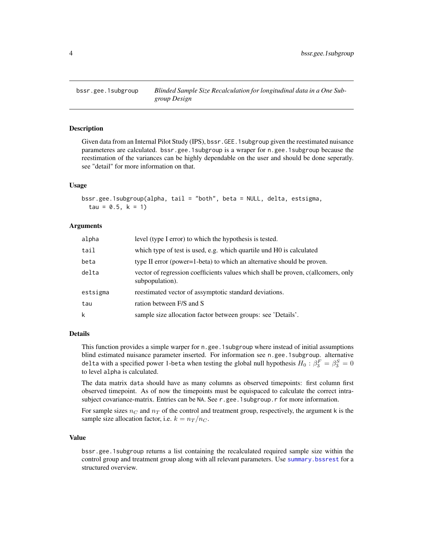<span id="page-3-1"></span><span id="page-3-0"></span>

#### Description

Given data from an Internal Pilot Study (IPS), bssr.GEE.1subgroup given the reestimated nuisance parameteres are calculated. bssr.gee.1subgroup is a wraper for n.gee.1subgroup because the reestimation of the variances can be highly dependable on the user and should be done seperatly. see "detail" for more information on that.

## Usage

```
bssr.gee.1subgroup(alpha, tail = "both", beta = NULL, delta, estsigma,
  tau = 0.5, k = 1
```
#### Arguments

| alpha    | level (type I error) to which the hypothesis is tested.                                              |
|----------|------------------------------------------------------------------------------------------------------|
| tail     | which type of test is used, e.g. which quartile und HO is calculated                                 |
| beta     | type II error (power=1-beta) to which an alternative should be proven.                               |
| delta    | vector of regression coefficients values which shall be proven, c(allcomers, only<br>subpopulation). |
| estsigma | reestimated vector of assymptotic standard deviations.                                               |
| tau      | ration between F/S and S                                                                             |
| k        | sample size allocation factor between groups: see 'Details'.                                         |

# Details

This function provides a simple warper for n.gee.1subgroup where instead of initial assumptions blind estimated nuisance parameter inserted. For information see n.gee.1subgroup. alternative delta with a specified power 1-beta when testing the global null hypothesis  $H_0: \beta^F_3 = \beta^S_3 = 0$ to level alpha is calculated.

The data matrix data should have as many columns as observed timepoints: first column first observed timepoint. As of now the timepoints must be equispaced to calculate the correct intrasubject covariance-matrix. Entries can be NA. See r.gee.1subgroup.r for more information.

For sample sizes  $n<sub>C</sub>$  and  $n<sub>T</sub>$  of the control and treatment group, respectively, the argument k is the sample size allocation factor, i.e.  $k = n_T / n_C$ .

#### Value

bssr.gee.1subgroup returns a list containing the recalculated required sample size within the control group and treatment group along with all relevant parameters. Use [summary.bssrest](#page-26-1) for a structured overview.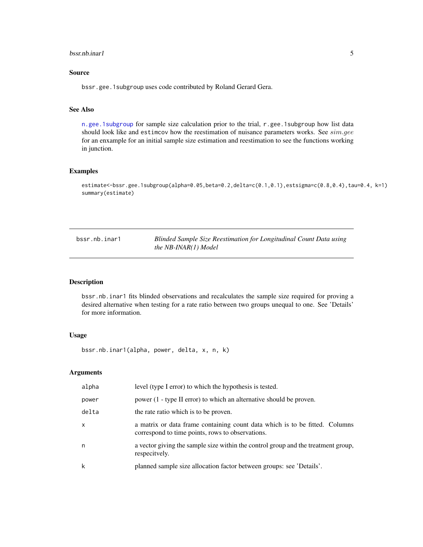#### <span id="page-4-0"></span>bssr.nb.inar1 5

# Source

bssr.gee.1subgroup uses code contributed by Roland Gerard Gera.

# See Also

[n.gee.1subgroup](#page-11-1) for sample size calculation prior to the trial, r.gee.1subgroup how list data should look like and estimcov how the reestimation of nuisance parameters works. See sim.gee for an enxample for an initial sample size estimation and reestimation to see the functions working in junction.

# Examples

```
estimate<-bssr.gee.1subgroup(alpha=0.05,beta=0.2,delta=c(0.1,0.1),estsigma=c(0.8,0.4),tau=0.4, k=1)
summary(estimate)
```
<span id="page-4-1"></span>bssr.nb.inar1 *Blinded Sample Size Reestimation for Longitudinal Count Data using the NB-INAR(1) Model*

# Description

bssr.nb.inar1 fits blinded observations and recalculates the sample size required for proving a desired alternative when testing for a rate ratio between two groups unequal to one. See 'Details' for more information.

#### Usage

```
bssr.nb.inar1(alpha, power, delta, x, n, k)
```
# Arguments

| alpha        | level (type I error) to which the hypothesis is tested.                                                                         |
|--------------|---------------------------------------------------------------------------------------------------------------------------------|
| power        | power (1 - type II error) to which an alternative should be proven.                                                             |
| delta        | the rate ratio which is to be proven.                                                                                           |
| $\mathsf{x}$ | a matrix or data frame containing count data which is to be fitted. Columns<br>correspond to time points, rows to observations. |
| n            | a vector giving the sample size within the control group and the treatment group,<br>respecitvely.                              |
| k            | planned sample size allocation factor between groups: see 'Details'.                                                            |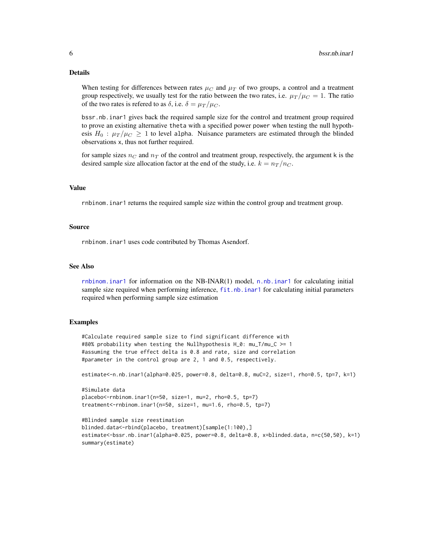#### <span id="page-5-0"></span>Details

When testing for differences between rates  $\mu_C$  and  $\mu_T$  of two groups, a control and a treatment group respectively, we usually test for the ratio between the two rates, i.e.  $\mu_T / \mu_C = 1$ . The ratio of the two rates is refered to as  $\delta$ , i.e.  $\delta = \mu_T / \mu_C$ .

bssr.nb.inar1 gives back the required sample size for the control and treatment group required to prove an existing alternative theta with a specified power power when testing the null hypothesis  $H_0$ :  $\mu_T/\mu_C \geq 1$  to level alpha. Nuisance parameters are estimated through the blinded observations x, thus not further required.

for sample sizes  $n_C$  and  $n_T$  of the control and treatment group, respectively, the argument k is the desired sample size allocation factor at the end of the study, i.e.  $k = n_T / n_C$ .

#### Value

rnbinom.inar1 returns the required sample size within the control group and treatment group.

#### Source

rnbinom.inar1 uses code contributed by Thomas Asendorf.

# See Also

[rnbinom.inar1](#page-17-1) for information on the NB-INAR(1) model, [n.nb.inar1](#page-13-1) for calculating initial sample size required when performing inference, [fit.nb.inar1](#page-7-1) for calculating initial parameters required when performing sample size estimation

#### Examples

#Calculate required sample size to find significant difference with #80% probability when testing the Nullhypothesis H\_0: mu\_T/mu\_C >= 1 #assuming the true effect delta is 0.8 and rate, size and correlation #parameter in the control group are 2, 1 and 0.5, respectively.

estimate<-n.nb.inar1(alpha=0.025, power=0.8, delta=0.8, muC=2, size=1, rho=0.5, tp=7, k=1)

```
#Simulate data
placebo<-rnbinom.inar1(n=50, size=1, mu=2, rho=0.5, tp=7)
treatment<-rnbinom.inar1(n=50, size=1, mu=1.6, rho=0.5, tp=7)
```

```
#Blinded sample size reestimation
blinded.data<-rbind(placebo, treatment)[sample(1:100),]
estimate<-bssr.nb.inar1(alpha=0.025, power=0.8, delta=0.8, x=blinded.data, n=c(50,50), k=1)
summary(estimate)
```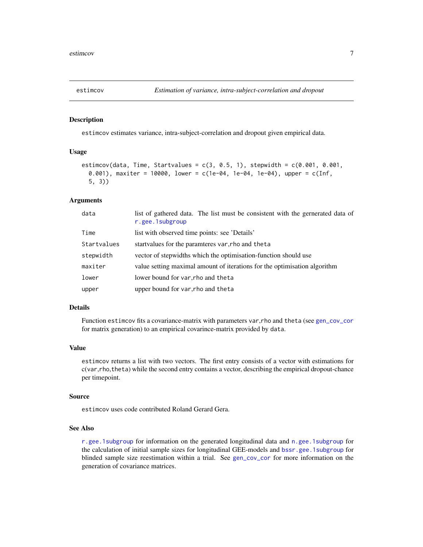<span id="page-6-1"></span><span id="page-6-0"></span>

#### Description

estimcov estimates variance, intra-subject-correlation and dropout given empirical data.

# Usage

```
estimcov(data, Time, Startvalues = c(3, 0.5, 1), stepwidth = c(0.001, 0.001,0.001), maxiter = 10000, lower = c(1e-04, 1e-04, 1e-04), upper = c(Inf,
  5, 3))
```
# Arguments

| data        | list of gathered data. The list must be consistent with the gernerated data of<br>r.gee.1subgroup |
|-------------|---------------------------------------------------------------------------------------------------|
| Time        | list with observed time points: see 'Details'                                                     |
| Startvalues | start values for the paramteres var, tho and theta                                                |
| stepwidth   | vector of stepwidths which the optimisation-function should use                                   |
| maxiter     | value setting maximal amount of iterations for the optimisation algorithm                         |
| lower       | lower bound for var, rho and theta                                                                |
| upper       | upper bound for var, rho and theta                                                                |

# Details

Function estimcov fits a covariance-matrix with parameters var,rho and theta (see [gen\\_cov\\_cor](#page-8-1) for matrix generation) to an empirical covarince-matrix provided by data.

#### Value

estimcov returns a list with two vectors. The first entry consists of a vector with estimations for c(var,rho,theta) while the second entry contains a vector, describing the empirical dropout-chance per timepoint.

# Source

estimcov uses code contributed Roland Gerard Gera.

#### See Also

[r.gee.1subgroup](#page-15-1) for information on the generated longitudinal data and [n.gee.1subgroup](#page-11-1) for the calculation of initial sample sizes for longitudinal GEE-models and [bssr.gee.1subgroup](#page-3-1) for blinded sample size reestimation within a trial. See [gen\\_cov\\_cor](#page-8-1) for more information on the generation of covariance matrices.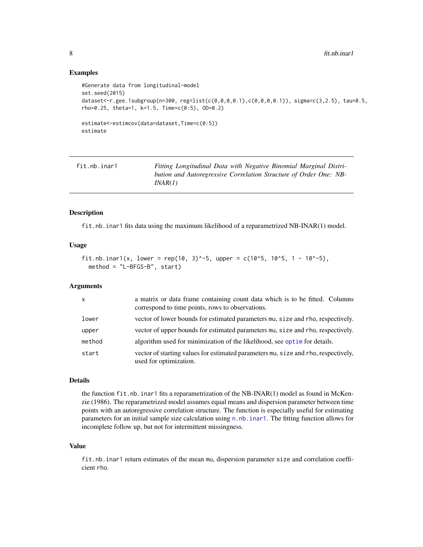#### <span id="page-7-0"></span>Examples

```
#Generate data from longitudinal-model
set.seed(2015)
dataset<-r.gee.1subgroup(n=300, reg=list(c(0,0,0,0.1),c(0,0,0,0.1)), sigma=c(3,2.5), tau=0.5,
rho=0.25, theta=1, k=1.5, Time=c(0:5), OD=0.2)
estimate<-estimcov(data=dataset,Time=c(0:5))
estimate
```
<span id="page-7-1"></span>

| fit.nb.inar1 | Fitting Longitudinal Data with Negative Binomial Marginal Distri- |
|--------------|-------------------------------------------------------------------|
|              | bution and Autoregressive Correlation Structure of Order One: NB- |
|              | INAR(1)                                                           |

# Description

fit.nb.inar1 fits data using the maximum likelihood of a reparametrized NB-INAR(1) model.

#### Usage

```
fit.nb.inar1(x, lower = rep(10, 3)^-5, upper = c(10^5, 10^5, 1 - 10^-5),
 method = "L-BFGS-B", start)
```
#### Arguments

| $\mathsf{x}$ | a matrix or data frame containing count data which is to be fitted. Columns<br>correspond to time points, rows to observations. |
|--------------|---------------------------------------------------------------------------------------------------------------------------------|
| lower        | vector of lower bounds for estimated parameters mu, size and rho, respectively.                                                 |
| upper        | vector of upper bounds for estimated parameters mu, size and rho, respectively.                                                 |
| method       | algorithm used for minimization of the likelihood, see optim for details.                                                       |
| start        | vector of starting values for estimated parameters mu, size and rho, respectively,<br>used for optimization.                    |

# Details

the function fit.nb.inar1 fits a reparametrization of the NB-INAR(1) model as found in McKenzie (1986). The reparametrized model assumes equal means and dispersion parameter between time points with an autoregressive correlation structure. The function is especially useful for estimating parameters for an initial sample size calculation using [n.nb.inar1](#page-13-1). The fitting function allows for incomplete follow up, but not for intermittent missingness.

# Value

fit.nb.inar1 return estimates of the mean mu, dispersion parameter size and correlation coefficient rho.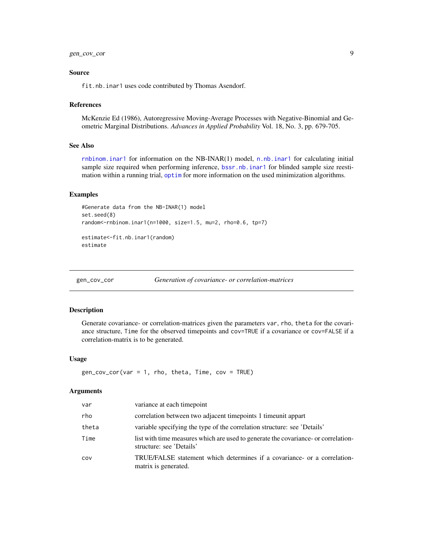#### <span id="page-8-0"></span>Source

fit.nb.inar1 uses code contributed by Thomas Asendorf.

#### References

McKenzie Ed (1986), Autoregressive Moving-Average Processes with Negative-Binomial and Geometric Marginal Distributions. *Advances in Applied Probability* Vol. 18, No. 3, pp. 679-705.

#### See Also

[rnbinom.inar1](#page-17-1) for information on the NB-INAR(1) model, [n.nb.inar1](#page-13-1) for calculating initial sample size required when performing inference, [bssr.nb.inar1](#page-4-1) for blinded sample size reestimation within a running trial, [optim](#page-0-0) for more information on the used minimization algorithms.

#### Examples

```
#Generate data from the NB-INAR(1) model
set.seed(8)
random<-rnbinom.inar1(n=1000, size=1.5, mu=2, rho=0.6, tp=7)
estimate<-fit.nb.inar1(random)
estimate
```
<span id="page-8-1"></span>gen\_cov\_cor *Generation of covariance- or correlation-matrices*

#### Description

Generate covariance- or correlation-matrices given the parameters var, rho, theta for the covariance structure, Time for the observed timepoints and cov=TRUE if a covariance or cov=FALSE if a correlation-matrix is to be generated.

#### Usage

 $gen\_cov\_cor(var = 1, rho, theta, Time, cov = TRUE)$ 

#### Arguments

| var   | variance at each timepoint                                                                                     |
|-------|----------------------------------------------------------------------------------------------------------------|
| rho   | correlation between two adjacent time points 1 time unit appart                                                |
| theta | variable specifying the type of the correlation structure: see 'Details'                                       |
| Time  | list with time measures which are used to generate the covariance- or correlation-<br>structure: see 'Details' |
| COV   | TRUE/FALSE statement which determines if a covariance- or a correlation-<br>matrix is generated.               |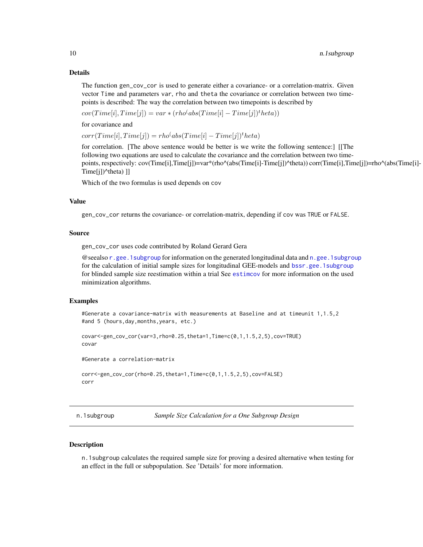#### <span id="page-9-0"></span>Details

The function gen\_cov\_cor is used to generate either a covariance- or a correlation-matrix. Given vector Time and parameters var, rho and theta the covariance or correlation between two timepoints is described: The way the correlation between two timepoints is described by

 $cov(Time[i], Time[j]) = var * (rho^(abs(Time[i] - Time[j])^theta))$ 

for covariance and

 $corr(Time[i], Time[j]) = rho(abs(Time[i] - Time[j])^{t}heta)$ 

for correlation. [The above sentence would be better is we write the following sentence:] [[The following two equations are used to calculate the covariance and the correlation between two timepoints, respectively: cov(Time[i],Time[j])=var\*(rho^(abs(Time[i]-Time[j])^theta)) corr(Time[i],Time[j])=rho^(abs(Time[i]- Time[j])^theta) ]]

Which of the two formulas is used depends on cov

#### Value

gen\_cov\_cor returns the covariance- or correlation-matrix, depending if cov was TRUE or FALSE.

#### Source

gen\_cov\_cor uses code contributed by Roland Gerard Gera

@seealso [r.gee.1subgroup](#page-15-1) for information on the generated longitudinal data and [n.gee.1subgroup](#page-11-1) for the calculation of initial sample sizes for longitudinal GEE-models and [bssr.gee.1subgroup](#page-3-1) for blinded sample size reestimation within a trial See [estimcov](#page-6-1) for more information on the used minimization algorithms.

#### Examples

```
#Generate a covariance-matrix with measurements at Baseline and at timeunit 1,1.5,2
#and 5 (hours,day,months,years, etc.)
```

```
covar<-gen_cov_cor(var=3,rho=0.25,theta=1,Time=c(0,1,1.5,2,5),cov=TRUE)
covar
```
#Generate a correlation-matrix

```
corr<-gen_cov_cor(rho=0.25,theta=1,Time=c(0,1,1.5,2,5),cov=FALSE)
corr
```
<span id="page-9-1"></span>n.1subgroup *Sample Size Calculation for a One Subgroup Design*

# Description

n.1subgroup calculates the required sample size for proving a desired alternative when testing for an effect in the full or subpopulation. See 'Details' for more information.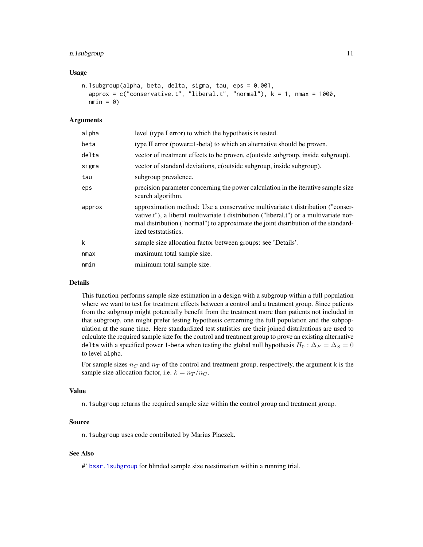#### <span id="page-10-0"></span>n.1subgroup 11

#### Usage

```
n.1subgroup(alpha, beta, delta, sigma, tau, eps = 0.001,
  approx = c("conservative.t", "liberal.t", "normal"), k = 1, nmax = 1000,nmin = 0
```
#### Arguments

| alpha  | level (type I error) to which the hypothesis is tested.                                                                                                                                                                                                                                |
|--------|----------------------------------------------------------------------------------------------------------------------------------------------------------------------------------------------------------------------------------------------------------------------------------------|
| beta   | type II error (power=1-beta) to which an alternative should be proven.                                                                                                                                                                                                                 |
| delta  | vector of treatment effects to be proven, c(outside subgroup, inside subgroup).                                                                                                                                                                                                        |
| sigma  | vector of standard deviations, c(outside subgroup, inside subgroup).                                                                                                                                                                                                                   |
| tau    | subgroup prevalence.                                                                                                                                                                                                                                                                   |
| eps    | precision parameter concerning the power calculation in the iterative sample size<br>search algorithm.                                                                                                                                                                                 |
| approx | approximation method: Use a conservative multivariate t distribution ("conser-<br>vative.t"), a liberal multivariate t distribution ("liberal.t") or a multivariate nor-<br>mal distribution ("normal") to approximate the joint distribution of the standard-<br>ized teststatistics. |
| k      | sample size allocation factor between groups: see 'Details'.                                                                                                                                                                                                                           |
| nmax   | maximum total sample size.                                                                                                                                                                                                                                                             |
| nmin   | minimum total sample size.                                                                                                                                                                                                                                                             |
|        |                                                                                                                                                                                                                                                                                        |

#### Details

This function performs sample size estimation in a design with a subgroup within a full population where we want to test for treatment effects between a control and a treatment group. Since patients from the subgroup might potentially benefit from the treatment more than patients not included in that subgroup, one might prefer testing hypothesis cercerning the full population and the subpopulation at the same time. Here standardized test statistics are their joined distributions are used to calculate the required sample size for the control and treatment group to prove an existing alternative delta with a specified power 1-beta when testing the global null hypothesis  $H_0$ :  $\Delta_F = \Delta_S = 0$ to level alpha.

For sample sizes  $n_C$  and  $n_T$  of the control and treatment group, respectively, the argument k is the sample size allocation factor, i.e.  $k = n_T / n_C$ .

## Value

n.1subgroup returns the required sample size within the control group and treatment group.

#### Source

n.1subgroup uses code contributed by Marius Placzek.

#### See Also

#' [bssr.1subgroup](#page-1-1) for blinded sample size reestimation within a running trial.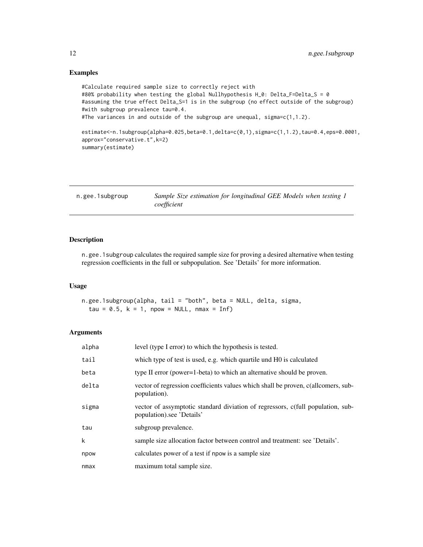# Examples

```
#Calculate required sample size to correctly reject with
#80% probability when testing the global Nullhypothesis H_0: Delta_F=Delta_S = 0
#assuming the true effect Delta_S=1 is in the subgroup (no effect outside of the subgroup)
#with subgroup prevalence tau=0.4.
#The variances in and outside of the subgroup are unequal, sigma=c(1,1.2).
estimate<-n.1subgroup(alpha=0.025,beta=0.1,delta=c(0,1),sigma=c(1,1.2),tau=0.4,eps=0.0001,
approx="conservative.t",k=2)
summary(estimate)
```
<span id="page-11-1"></span>

| n.gee.1subgroup | Sample Size estimation for longitudinal GEE Models when testing 1 |
|-----------------|-------------------------------------------------------------------|
|                 | coefficient                                                       |

# Description

n.gee.1subgroup calculates the required sample size for proving a desired alternative when testing regression coefficients in the full or subpopulation. See 'Details' for more information.

#### Usage

n.gee.1subgroup(alpha, tail = "both", beta = NULL, delta, sigma, tau =  $0.5$ ,  $k = 1$ , npow = NULL, nmax = Inf)

# Arguments

| alpha       | level (type I error) to which the hypothesis is tested.                                                      |
|-------------|--------------------------------------------------------------------------------------------------------------|
| tail        | which type of test is used, e.g. which quartile und H0 is calculated                                         |
| beta        | type II error (power=1-beta) to which an alternative should be proven.                                       |
| delta       | vector of regression coefficients values which shall be proven, c(allcomers, sub-<br>population).            |
| sigma       | vector of assymptotic standard diviation of regressors, c(full population, sub-<br>population).see 'Details' |
| tau         | subgroup prevalence.                                                                                         |
| $\mathsf k$ | sample size allocation factor between control and treatment: see 'Details'.                                  |
| npow        | calculates power of a test if npow is a sample size                                                          |
| nmax        | maximum total sample size.                                                                                   |

<span id="page-11-0"></span>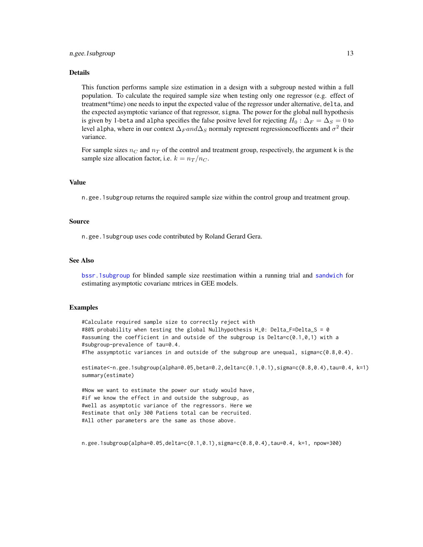#### <span id="page-12-0"></span>Details

This function performs sample size estimation in a design with a subgroup nested within a full population. To calculate the required sample size when testing only one regressor (e.g. effect of treatment\*time) one needs to input the expected value of the regressor under alternative, delta, and the expected asymptotic variance of that regressor, sigma. The power for the global null hypothesis is given by 1-beta and alpha specifies the false positve level for rejecting  $H_0$  :  $\Delta_F = \Delta_S = 0$  to level alpha, where in our context  $\Delta_F and \Delta_S$  normaly represent regressioncoefficents and  $\sigma^2$  their variance.

For sample sizes  $n_C$  and  $n_T$  of the control and treatment group, respectively, the argument k is the sample size allocation factor, i.e.  $k = n_T / n_C$ .

# Value

n.gee.1subgroup returns the required sample size within the control group and treatment group.

#### Source

n.gee.1subgroup uses code contributed by Roland Gerard Gera.

#### See Also

[bssr.1subgroup](#page-1-1) for blinded sample size reestimation within a running trial and [sandwich](#page-19-1) for estimating asymptotic covarianc mtrices in GEE models.

#### Examples

#Calculate required sample size to correctly reject with #80% probability when testing the global Nullhypothesis H\_0: Delta\_F=Delta\_S = 0 #assuming the coefficient in and outside of the subgroup is Delta=c(0.1,0,1) with a #subgroup-prevalence of tau=0.4. #The assymptotic variances in and outside of the subgroup are unequal, sigma=c(0.8,0.4).

```
estimate<-n.gee.1subgroup(alpha=0.05,beta=0.2,delta=c(0.1,0.1),sigma=c(0.8,0.4),tau=0.4, k=1)
summary(estimate)
```
#Now we want to estimate the power our study would have, #if we know the effect in and outside the subgroup, as #well as asymptotic variance of the regressors. Here we #estimate that only 300 Patiens total can be recruited. #All other parameters are the same as those above.

n.gee.1subgroup(alpha=0.05,delta=c(0.1,0.1),sigma=c(0.8,0.4),tau=0.4, k=1, npow=300)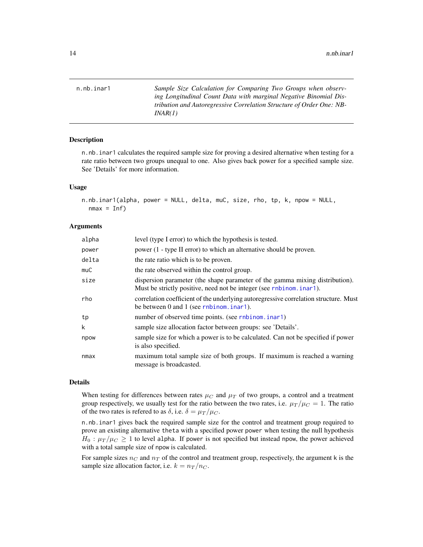<span id="page-13-1"></span><span id="page-13-0"></span>n.nb.inar1 *Sample Size Calculation for Comparing Two Groups when observing Longitudinal Count Data with marginal Negative Binomial Distribution and Autoregressive Correlation Structure of Order One: NB-INAR(1)*

#### Description

n.nb.inar1 calculates the required sample size for proving a desired alternative when testing for a rate ratio between two groups unequal to one. Also gives back power for a specified sample size. See 'Details' for more information.

#### Usage

```
n.nb.inar1(alpha, power = NULL, delta, muC, size, rho, tp, k, npow = NULL,
 nmax = Inf
```
# Arguments

| alpha | level (type I error) to which the hypothesis is tested.                                                                                              |
|-------|------------------------------------------------------------------------------------------------------------------------------------------------------|
| power | power (1 - type II error) to which an alternative should be proven.                                                                                  |
| delta | the rate ratio which is to be proven.                                                                                                                |
| muC   | the rate observed within the control group.                                                                                                          |
| size  | dispersion parameter (the shape parameter of the gamma mixing distribution).<br>Must be strictly positive, need not be integer (see rnbinom. inar1). |
| rho   | correlation coefficient of the underlying autoregressive correlation structure. Must<br>be between 0 and 1 (see rnbinom.inar1).                      |
| tp    | number of observed time points. (see rnbinom. inar1)                                                                                                 |
| k     | sample size allocation factor between groups: see 'Details'.                                                                                         |
| npow  | sample size for which a power is to be calculated. Can not be specified if power<br>is also specified.                                               |
| nmax  | maximum total sample size of both groups. If maximum is reached a warning<br>message is broadcasted.                                                 |

#### Details

When testing for differences between rates  $\mu_C$  and  $\mu_T$  of two groups, a control and a treatment group respectively, we usually test for the ratio between the two rates, i.e.  $\mu_T / \mu_C = 1$ . The ratio of the two rates is refered to as  $\delta$ , i.e.  $\delta = \mu_T / \mu_C$ .

n.nb.inar1 gives back the required sample size for the control and treatment group required to prove an existing alternative theta with a specified power power when testing the null hypothesis  $H_0: \mu_T/\mu_C \geq 1$  to level alpha. If power is not specified but instead npow, the power achieved with a total sample size of npow is calculated.

For sample sizes  $n_C$  and  $n_T$  of the control and treatment group, respectively, the argument k is the sample size allocation factor, i.e.  $k = n_T/n_C$ .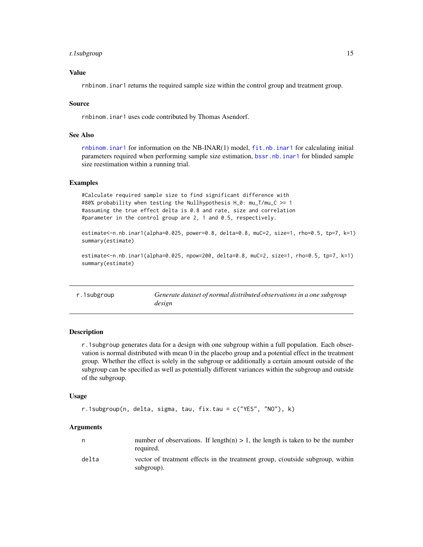#### <span id="page-14-0"></span>r. 1subgroup 15

### Value

rnbinom.inar1 returns the required sample size within the control group and treatment group.

#### Source

rnbinom.inar1 uses code contributed by Thomas Asendorf.

#### See Also

[rnbinom.inar1](#page-17-1) for information on the NB-INAR(1) model, [fit.nb.inar1](#page-7-1) for calculating initial parameters required when performing sample size estimation, [bssr.nb.inar1](#page-4-1) for blinded sample size reestimation within a running trial.

#### Examples

#Calculate required sample size to find significant difference with #80% probability when testing the Nullhypothesis H\_0: mu\_T/mu\_C >= 1 #assuming the true effect delta is 0.8 and rate, size and correlation #parameter in the control group are 2, 1 and 0.5, respectively.

estimate<-n.nb.inar1(alpha=0.025, power=0.8, delta=0.8, muC=2, size=1, rho=0.5, tp=7, k=1) summary(estimate)

estimate<-n.nb.inar1(alpha=0.025, npow=200, delta=0.8, muC=2, size=1, rho=0.5, tp=7, k=1) summary(estimate)

<span id="page-14-1"></span>r.1subgroup *Generate dataset of normal distributed observations in a one subgroup design*

#### **Description**

r.1subgroup generates data for a design with one subgroup within a full population. Each observation is normal distributed with mean 0 in the placebo group and a potential effect in the treatment group. Whether the effect is solely in the subgroup or additionally a certain amount outside of the subgroup can be specified as well as potentially different variances within the subgroup and outside of the subgroup.

#### Usage

```
r.1subgroup(n, delta, sigma, tau, fix.tau = c("YES", "NO"), k)
```
#### Arguments

|       | number of observations. If length(n) $> 1$ , the length is taken to be the number<br>required. |
|-------|------------------------------------------------------------------------------------------------|
| delta | vector of treatment effects in the treatment group, c(outside subgroup, within<br>subgroup).   |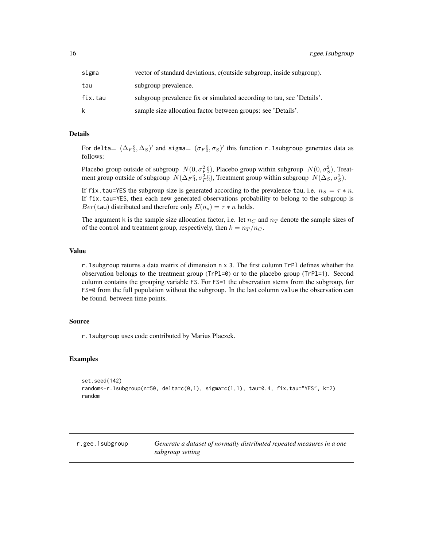<span id="page-15-0"></span>

| sigma   | vector of standard deviations, coutside subgroup, inside subgroup).   |
|---------|-----------------------------------------------------------------------|
| tau     | subgroup prevalence.                                                  |
| fix.tau | subgroup prevalence fix or simulated according to tau, see 'Details'. |
| k.      | sample size allocation factor between groups: see 'Details'.          |

# Details

For delta $= (\Delta_F \S, \Delta_S)'$  and sigma $= (\sigma_F \S, \sigma_S)'$  this function r.1subgroup generates data as follows:

Placebo group outside of subgroup  $N(0, \sigma_F^2)$ , Placebo group within subgroup  $N(0, \sigma_S^2)$ , Treatment group outside of subgroup  $N(\Delta_F \S, \sigma_F^2 \S)$ , Treatment group within subgroup  $N(\Delta_S, \sigma_S^2)$ .

If fix.tau=YES the subgroup size is generated according to the prevalence tau, i.e.  $n_S = \tau * n$ . If fix.tau=YES, then each new generated observations probability to belong to the subgroup is  $Ber(tau)$  distributed and therefore only  $E(n_s) = \tau * n$  holds.

The argument k is the sample size allocation factor, i.e. let  $n<sub>C</sub>$  and  $n<sub>T</sub>$  denote the sample sizes of of the control and treatment group, respectively, then  $k = n_T / n_C$ .

# Value

r.1subgroup returns a data matrix of dimension n x 3. The first column TrPl defines whether the observation belongs to the treatment group (TrPl=0) or to the placebo group (TrPl=1). Second column contains the grouping variable FS. For FS=1 the observation stems from the subgroup, for FS=0 from the full population without the subgroup. In the last column value the observation can be found. between time points.

#### Source

r.1subgroup uses code contributed by Marius Placzek.

#### Examples

```
set.seed(142)
random \leftarrowr.1subgroup(n=50, delta=c(0,1), sigma=c(1,1), tau=0.4, fix.tau="YES", k=2)
random
```
<span id="page-15-1"></span>r.gee.1subgroup *Generate a dataset of normally distributed repeated measures in a one subgroup setting*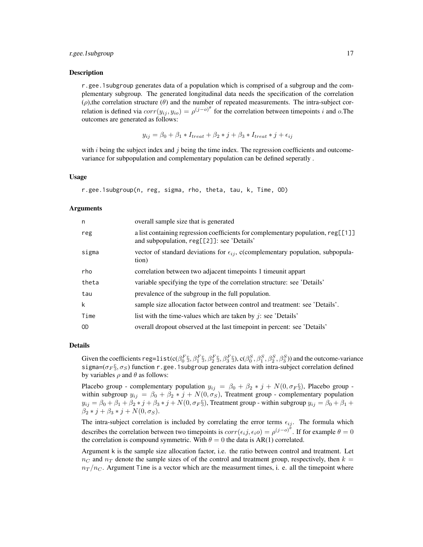#### r.gee.1subgroup 17

#### Description

r.gee.1subgroup generates data of a population which is comprised of a subgroup and the complementary subgroup. The generated longitudinal data needs the specification of the correlation  $(\rho)$ , the correlation structure  $(\theta)$  and the number of repeated measurements. The intra-subject correlation is defined via  $corr(y_{ij}, y_{io}) = \rho^{(j-o)^{\theta}}$  for the correlation between timepoints i and o.The outcomes are generated as follows:

$$
y_{ij} = \beta_0 + \beta_1 * I_{treat} + \beta_2 * j + \beta_3 * I_{treat} * j + \epsilon_{ij}
$$

with  $i$  being the subject index and  $j$  being the time index. The regression coefficients and outcomevariance for subpopulation and complementary population can be defined seperatly .

#### Usage

```
r.gee.1subgroup(n, reg, sigma, rho, theta, tau, k, Time, OD)
```
#### Arguments

| n     | overall sample size that is generated                                                                                          |
|-------|--------------------------------------------------------------------------------------------------------------------------------|
| reg   | a list containing regression coefficients for complementary population, reg[[1]]<br>and subpopulation, reg[[2]]: see 'Details' |
| sigma | vector of standard deviations for $\epsilon_{ij}$ , c(complementary population, subpopula-<br>tion)                            |
| rho   | correlation between two adjacent time points 1 time unit appart                                                                |
| theta | variable specifying the type of the correlation structure: see 'Details'                                                       |
| tau   | prevalence of the subgroup in the full population.                                                                             |
| k     | sample size allocation factor between control and treatment: see 'Details'.                                                    |
| Time  | list with the time-values which are taken by $j$ : see 'Details'                                                               |
| 0D    | overall dropout observed at the last timepoint in percent: see 'Details'                                                       |

# Details

Given the coefficients  $\text{reg=list}(\text{c}(\beta_0^F\S, \beta_1^F\S, \beta_2^F\S, \beta_3^F\S), \text{c}(\beta_0^S, \beta_1^S, \beta_2^S, \beta_3^S))$  and the outcome-variance sigma=( $\sigma_F \S$ ,  $\sigma_S$ ) function r.gee.1subgroup generates data with intra-subject correlation defined by variables  $\rho$  and  $\theta$  as follows:

Placebo group - complementary population  $y_{ij} = \beta_0 + \beta_2 * j + N(0, \sigma_F \S)$ , Placebo group within subgroup  $y_{ij} = \beta_0 + \beta_2 * j + N(0, \sigma_S)$ , Treatment group - complementary population  $y_{ij} = \beta_0 + \beta_1 + \beta_2 * j + \beta_3 * j + N(0, \sigma_F \S)$ , Treatment group - within subgroup  $y_{ij} = \beta_0 + \beta_1 + \gamma_2$  $\beta_2 * j + \beta_3 * j + N(0, \sigma_S).$ 

The intra-subject correlation is included by correlating the error terms  $\epsilon_{ij}$ . The formula which describes the correlation between two timepoints is  $corr(\epsilon_i j, \epsilon_i o) = \rho^{(j-o)^{\theta}}$ . If for example  $\theta = 0$ the correlation is compound symmetric. With  $\theta = 0$  the data is AR(1) correlated.

Argument k is the sample size allocation factor, i.e. the ratio between control and treatment. Let  $n<sub>C</sub>$  and  $n<sub>T</sub>$  denote the sample sizes of of the control and treatment group, respectively, then  $k =$  $n_T/n_C$ . Argument Time is a vector which are the measurment times, i. e. all the timepoint where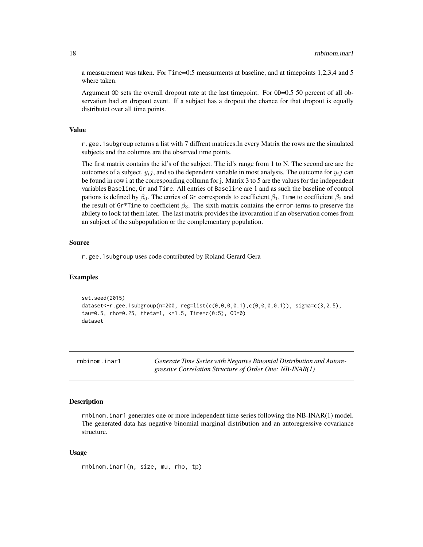a measurement was taken. For Time=0:5 measurments at baseline, and at timepoints 1,2,3,4 and 5 where taken.

Argument OD sets the overall dropout rate at the last timepoint. For OD=0.5 50 percent of all observation had an dropout event. If a subjact has a dropout the chance for that dropout is equally distributet over all time points.

# Value

r.gee.1subgroup returns a list with 7 diffrent matrices.In every Matrix the rows are the simulated subjects and the columns are the observed time points.

The first matrix contains the id's of the subject. The id's range from 1 to N. The second are are the outcomes of a subject,  $y_i j$ , and so the dependent variable in most analysis. The outcome for  $y_i j$  can be found in row i at the corresponding collumn for j. Matrix 3 to 5 are the values for the independent variables Baseline, Gr and Time. All entries of Baseline are 1 and as such the baseline of control pations is defined by  $\beta_0$ . The enries of Gr corresponds to coefficient  $\beta_1$ , Time to coefficient  $\beta_2$  and the result of Gr\*Time to coefficient  $\beta_3$ . The sixth matrix contains the error-terms to preserve the abilety to look tat them later. The last matrix provides the invoramtion if an observation comes from an subjoct of the subpopulation or the complementary population.

#### Source

r.gee.1subgroup uses code contributed by Roland Gerard Gera

#### Examples

```
set.seed(2015)
dataset<-r.gee.1subgroup(n=200, reg=list(c(0,0,0,0.1),c(0,0,0,0.1)), sigma=c(3,2.5),
tau=0.5, rho=0.25, theta=1, k=1.5, Time=c(0:5), OD=0)
dataset
```
<span id="page-17-1"></span>rnbinom.inar1 *Generate Time Series with Negative Binomial Distribution and Autoregressive Correlation Structure of Order One: NB-INAR(1)*

#### Description

rnbinom.inar1 generates one or more independent time series following the NB-INAR(1) model. The generated data has negative binomial marginal distribution and an autoregressive covariance structure.

#### Usage

```
rnbinom.inar1(n, size, mu, rho, tp)
```
<span id="page-17-0"></span>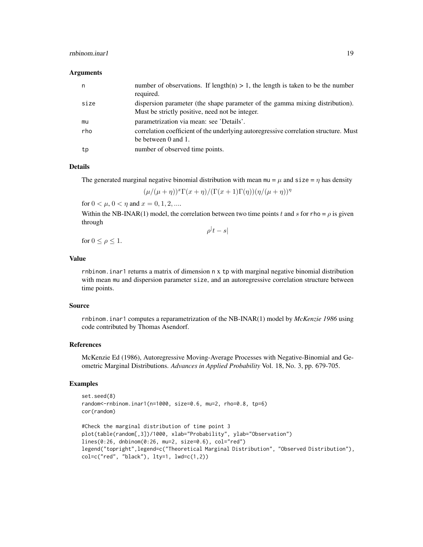# rnbinom.inar1 1992

#### Arguments

| n    | number of observations. If $length(n) > 1$ , the length is taken to be the number<br>required.                                  |
|------|---------------------------------------------------------------------------------------------------------------------------------|
| size | dispersion parameter (the shape parameter of the gamma mixing distribution).<br>Must be strictly positive, need not be integer. |
| mu   | parametrization via mean: see 'Details'.                                                                                        |
| rho  | correlation coefficient of the underlying autoregressive correlation structure. Must<br>be between 0 and 1.                     |
| tp   | number of observed time points.                                                                                                 |

# Details

The generated marginal negative binomial distribution with mean mu =  $\mu$  and size =  $\eta$  has density

 $(\mu/(\mu+\eta))^x\Gamma(x+\eta)/(\Gamma(x+1)\Gamma(\eta))(\eta/(\mu+\eta))^{\eta}$ 

for  $0 < \mu$ ,  $0 < \eta$  and  $x = 0, 1, 2, ...$ 

Within the NB-INAR(1) model, the correlation between two time points t and s for rho =  $\rho$  is given through  $\rho^{\vert}t-s\vert$ 

for  $0 \leq \rho \leq 1$ .

#### Value

rnbinom.inar1 returns a matrix of dimension n x tp with marginal negative binomial distribution with mean mu and dispersion parameter size, and an autoregressive correlation structure between time points.

#### Source

rnbinom.inar1 computes a reparametrization of the NB-INAR(1) model by *McKenzie 1986* using code contributed by Thomas Asendorf.

#### References

McKenzie Ed (1986), Autoregressive Moving-Average Processes with Negative-Binomial and Geometric Marginal Distributions. *Advances in Applied Probability* Vol. 18, No. 3, pp. 679-705.

# Examples

```
set.seed(8)
random<-rnbinom.inar1(n=1000, size=0.6, mu=2, rho=0.8, tp=6)
cor(random)
```

```
#Check the marginal distribution of time point 3
plot(table(random[,3])/1000, xlab="Probability", ylab="Observation")
lines(0:26, dnbinom(0:26, mu=2, size=0.6), col="red")
legend("topright",legend=c("Theoretical Marginal Distribution", "Observed Distribution"),
col=c("red", "black"), \; lty=1, \; lwd=c(1,2))
```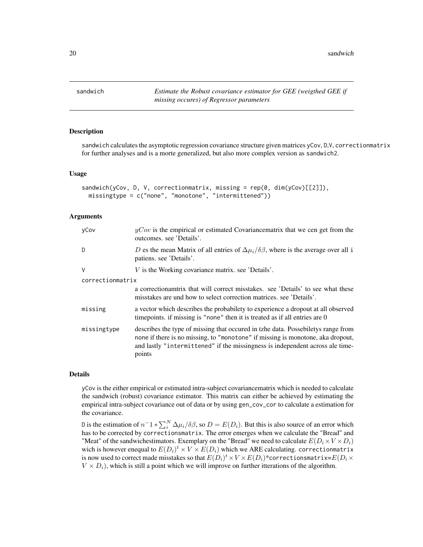<span id="page-19-0"></span>20 sandwich and the state of the state of the state of the state of the state of the state of the state of the state of the state of the state of the state of the state of the state of the state of the state of the state o

<span id="page-19-1"></span>

# **Description**

sandwich calculates the asymptotic regression covariance structure given matrices yCov, D,V, correctionmatrix for further analyses and is a morte generalized, but also more complex version as sandwich2.

#### Usage

```
sandwich(yCov, D, V, correctionmatrix, missing = rep(0, dim(yCov)[[2]]),
 missingtype = c("none", "monotone", "intermittened"))
```
# Arguments

| yCov             | $yCov$ is the empirical or estimated Covariance matrix that we cen get from the<br>outcomes. see 'Details'.                                                                                                                                                     |  |
|------------------|-----------------------------------------------------------------------------------------------------------------------------------------------------------------------------------------------------------------------------------------------------------------|--|
| D                | D es the mean Matrix of all entries of $\Delta \mu_i / \delta \beta$ , where is the average over all i<br>patiens. see 'Details'.                                                                                                                               |  |
| V                | $V$ is the Working covariance matrix, see 'Details'.                                                                                                                                                                                                            |  |
| correctionmatrix |                                                                                                                                                                                                                                                                 |  |
|                  | a correctionamitrix that will correct misstakes, see 'Details' to see what these<br>misstakes are und how to select correction matrices, see 'Details'.                                                                                                         |  |
| missing          | a vector which describes the probabilety to experience a dropout at all observed<br>time points. if missing is "none" then it is treated as if all entries are 0                                                                                                |  |
| missingtype      | describes the type of missing that occurred in tzhe data. Possebiletys range from<br>none if there is no missing, to "monotone" if missing is monotone, aka dropout,<br>and lastly "intermittened" if the missingness is independent across ale time-<br>points |  |

#### Details

yCov is the either empirical or estimated intra-subject covariancematrix which is needed to calculate the sandwich (robust) covariance estimator. This matrix can either be achieved by estimating the empirical intra-subject covariance out of data or by using gen\_cov\_cor to calculate a estimation for the covariance.

D is the estimation of  $n^-1 * \sum_i^N \Delta \mu_i / \delta \beta$ , so  $D = E(D_i)$ . But this is also source of an error which has to be corrected by correctionsmatrix. The error emerges when we calculate the "Bread" and "Meat" of the sandwichestimators. Exemplary on the "Bread" we need to calculate  $E(D_i \times V \times D_i)$ wich is however enequal to  $E(D_i)^t \times V \times E(D_i)$  which we ARE calculating. correctionmatrix is now used to correct made misstakes so that  $E(D_i)^t\!\times\! V\!\times\!E(D_i)^*\!$  correctionsmatrix= $E(D_i\times$  $V \times D_i$ , which is still a point which we will improve on further itterations of the algorithm.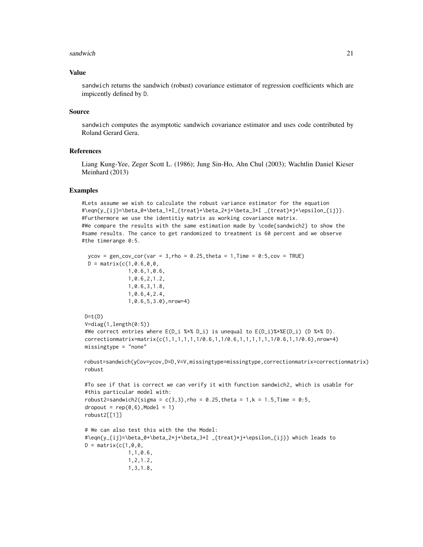#### sandwich 21

#### Value

sandwich returns the sandwich (robust) covariance estimator of regression coefficients which are impicently defined by D.

#### Source

sandwich computes the asymptotic sandwich covariance estimator and uses code contributed by Roland Gerard Gera.

## References

Liang Kung-Yee, Zeger Scott L. (1986); Jung Sin-Ho, Ahn Chul (2003); Wachtlin Daniel Kieser Meinhard (2013)

#### Examples

```
#Lets assume we wish to calculate the robust variance estimator for the equation
\# \eqref{y_{ij}=\beta_0+\beta_1*\1_{\tref{t}=\beta_2*\j+\beta_3*\1_{\tref{t}*\j+\epsilon_1*\j+\epsilon_2}}.#Furthermore we use the identitiy matrix as working covariance matrix.
#We compare the results with the same estimation made by \code{sandwich2} to show the
#same results. The cance to get randomized to treatment is 60 percent and we observe
#the timerange 0:5.
```

```
ycov = gen\_cov\_cor(var = 3, rho = 0.25, theta = 1, Time = 0.5, cov = TRUE)D = matrix(c(1, 0.6, 0, 0,1,0.6,1,0.6,
             1,0.6,2,1.2,
             1,0.6,3,1.8,
             1,0.6,4,2.4,
             1,0.6,5,3.0),nrow=4)
```

```
D=t(D)V=diag(1,length(0:5))
#We correct entries where E(D_i %*% D_i) is unequal to E(D_i)%*%E(D_i) (D %*% D).
correctionmatrix=matrix(c(1,1,1,1,1,1/0.6,1,1/0.6,1,1,1,1,1,1/0.6,1,1/0.6),nrow=4)
missingtype = "none"
```
robust=sandwich(yCov=ycov,D=D,V=V,missingtype=missingtype,correctionmatrix=correctionmatrix) robust

```
#To see if that is correct we can verify it with function sandwich2, which is usable for
#this particular model with:
robust2=sandwich2(sigma = c(3,3), rho = 0.25, theta = 1,k = 1.5, Time = 0:5,
droput = rep(0,6), Model = 1)
robust2[[1]]
# We can also test this with the the Model:
#\eqn{y_{ij}=\beta_0+\beta_2*j+\beta_3*I _{treat}*j+\epsilon_{ij}} which leads to
D = matrix(c(1, 0, 0,1,1,0.6,
              1,2,1.2,
```

```
1,3,1.8,
```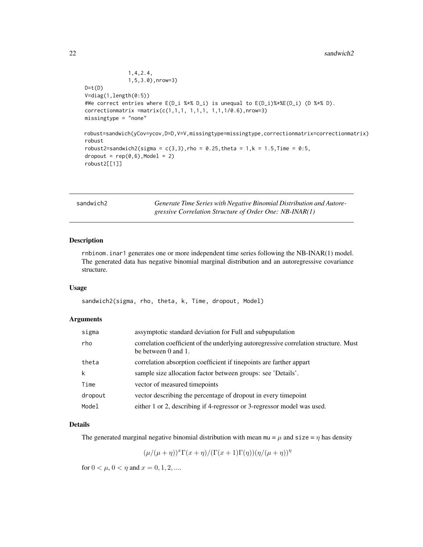```
1,4,2.4,
              1,5,3.0),nrow=3)
D=t(D)V=diag(1,length(0:5))
#We correct entries where E(D_i %*% D_i) is unequal to E(D_i)%*%E(D_i) (D %*% D).
correction matrix = matrix(c(1,1,1, 1,1,1, 1,1,1/0.6), nrow=3)missingtype = "none"
robust=sandwich(yCov=ycov,D=D,V=V,missingtype=missingtype,correctionmatrix=correctionmatrix)
robust
robust2=sandwich2(sigma = c(3,3), rho = 0.25, theta = 1,k = 1.5, Time = 0:5,
droput = rep(0,6), Model = 2)
robust2[[1]]
```

| sandwich2 |  |  |
|-----------|--|--|
|           |  |  |

Generate Time Series with Negative Binomial Distribution and Autore*gressive Correlation Structure of Order One: NB-INAR(1)*

# Description

rnbinom.inar1 generates one or more independent time series following the NB-INAR(1) model. The generated data has negative binomial marginal distribution and an autoregressive covariance structure.

#### Usage

sandwich2(sigma, rho, theta, k, Time, dropout, Model)

# Arguments

| sigma   | assymptotic standard deviation for Full and subpupulation                                                   |
|---------|-------------------------------------------------------------------------------------------------------------|
| rho     | correlation coefficient of the underlying autoregressive correlation structure. Must<br>be between 0 and 1. |
| theta   | correlation absorption coefficient if tinepoints are farther appart                                         |
| k       | sample size allocation factor between groups: see 'Details'.                                                |
| Time    | vector of measured timepoints                                                                               |
| dropout | vector describing the percentage of dropout in every time point                                             |
| Model   | either 1 or 2, describing if 4-regressor or 3-regressor model was used.                                     |

#### Details

The generated marginal negative binomial distribution with mean  $mu = \mu$  and size =  $\eta$  has density

 $(\mu/(\mu+\eta))^x\Gamma(x+\eta)/(\Gamma(x+1)\Gamma(\eta))(\eta/(\mu+\eta))^{\eta}$ 

for  $0 < \mu$ ,  $0 < \eta$  and  $x = 0, 1, 2, ...$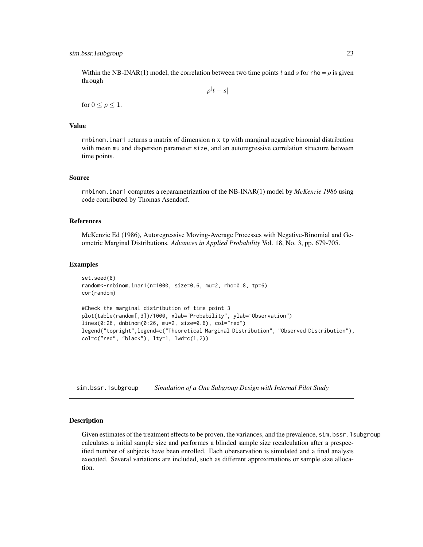<span id="page-22-0"></span>Within the NB-INAR(1) model, the correlation between two time points t and s for rho =  $\rho$  is given through

 $\rho^{\vert}t-s\vert$ 

for  $0 \leq \rho \leq 1$ .

#### Value

rnbinom.inar1 returns a matrix of dimension n x tp with marginal negative binomial distribution with mean mu and dispersion parameter size, and an autoregressive correlation structure between time points.

#### Source

rnbinom.inar1 computes a reparametrization of the NB-INAR(1) model by *McKenzie 1986* using code contributed by Thomas Asendorf.

# References

McKenzie Ed (1986), Autoregressive Moving-Average Processes with Negative-Binomial and Geometric Marginal Distributions. *Advances in Applied Probability* Vol. 18, No. 3, pp. 679-705.

#### Examples

```
set.seed(8)
random<-rnbinom.inar1(n=1000, size=0.6, mu=2, rho=0.8, tp=6)
cor(random)
#Check the marginal distribution of time point 3
plot(table(random[,3])/1000, xlab="Probability", ylab="Observation")
lines(0:26, dnbinom(0:26, mu=2, size=0.6), col="red")
legend("topright",legend=c("Theoretical Marginal Distribution", "Observed Distribution"),
col=c("red", "black"), lty=1, lwd=c(1,2))
```
sim.bssr.1subgroup *Simulation of a One Subgroup Design with Internal Pilot Study*

#### Description

Given estimates of the treatment effects to be proven, the variances, and the prevalence, sim.bssr.1subgroup calculates a initial sample size and performes a blinded sample size recalculation after a prespecified number of subjects have been enrolled. Each oberservation is simulated and a final analysis executed. Several variations are included, such as different approximations or sample size allocation.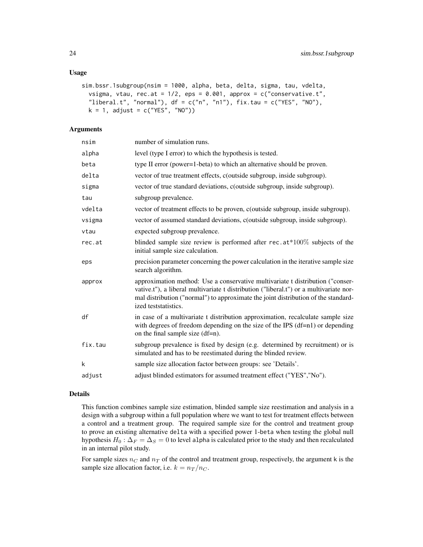#### Usage

```
sim.bssr.1subgroup(nsim = 1000, alpha, beta, delta, sigma, tau, vdelta,
  vsigma, vtau, rec.at = 1/2, eps = 0.001, approx = c("conservative.t","liberal.t", "normal"), df = c("n", "n1"), fix.tau = c("YES", "NO"),
 k = 1, adjust = c("YES", "NO"))
```
# **Arguments**

| nsim    | number of simulation runs.                                                                                                                                                                                                                                                             |
|---------|----------------------------------------------------------------------------------------------------------------------------------------------------------------------------------------------------------------------------------------------------------------------------------------|
| alpha   | level (type I error) to which the hypothesis is tested.                                                                                                                                                                                                                                |
| beta    | type II error (power=1-beta) to which an alternative should be proven.                                                                                                                                                                                                                 |
| delta   | vector of true treatment effects, c(outside subgroup, inside subgroup).                                                                                                                                                                                                                |
| sigma   | vector of true standard deviations, c(outside subgroup, inside subgroup).                                                                                                                                                                                                              |
| tau     | subgroup prevalence.                                                                                                                                                                                                                                                                   |
| vdelta  | vector of treatment effects to be proven, c(outside subgroup, inside subgroup).                                                                                                                                                                                                        |
| vsigma  | vector of assumed standard deviations, c(outside subgroup, inside subgroup).                                                                                                                                                                                                           |
| vtau    | expected subgroup prevalence.                                                                                                                                                                                                                                                          |
| rec.at  | blinded sample size review is performed after $rec.at*100\%$ subjects of the<br>initial sample size calculation.                                                                                                                                                                       |
| eps     | precision parameter concerning the power calculation in the iterative sample size<br>search algorithm.                                                                                                                                                                                 |
| approx  | approximation method: Use a conservative multivariate t distribution ("conser-<br>vative.t"), a liberal multivariate t distribution ("liberal.t") or a multivariate nor-<br>mal distribution ("normal") to approximate the joint distribution of the standard-<br>ized teststatistics. |
| df      | in case of a multivariate t distribution approximation, recalculate sample size<br>with degrees of freedom depending on the size of the IPS $(df=n1)$ or depending<br>on the final sample size (df=n).                                                                                 |
| fix.tau | subgroup prevalence is fixed by design (e.g. determined by recruitment) or is<br>simulated and has to be reestimated during the blinded review.                                                                                                                                        |
| k       | sample size allocation factor between groups: see 'Details'.                                                                                                                                                                                                                           |
| adjust  | adjust blinded estimators for assumed treatment effect ("YES","No").                                                                                                                                                                                                                   |
|         |                                                                                                                                                                                                                                                                                        |

#### Details

This function combines sample size estimation, blinded sample size reestimation and analysis in a design with a subgroup within a full population where we want to test for treatment effects between a control and a treatment group. The required sample size for the control and treatment group to prove an existing alternative delta with a specified power 1-beta when testing the global null hypothesis  $H_0$ :  $\Delta_F = \Delta_S = 0$  to level alpha is calculated prior to the study and then recalculated in an internal pilot study.

For sample sizes  $n_C$  and  $n_T$  of the control and treatment group, respectively, the argument k is the sample size allocation factor, i.e.  $k = n_T/n_C$ .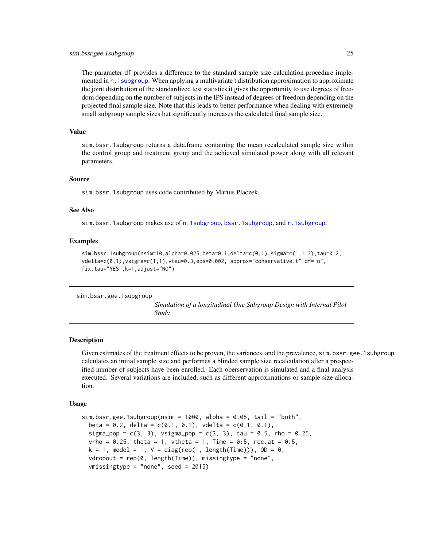<span id="page-24-0"></span>The parameter df provides a difference to the standard sample size calculation procedure implemented in [n.1subgroup](#page-9-1). When applying a multivariate t distribution approximation to approximate the joint distribution of the standardized test statistics it gives the opportunity to use degrees of freedom depending on the number of subjects in the IPS instead of degrees of freedom depending on the projected final sample size. Note that this leads to better performance when dealing with extremely small subgroup sample sizes but significantly increases the calculated final sample size.

#### Value

sim.bssr.1subgroup returns a data.frame containing the mean recalculated sample size within the control group and treatment group and the achieved simulated power along with all relevant parameters.

#### Source

sim.bssr.1subgroup uses code contributed by Marius Placzek.

# See Also

sim.bssr.1subgroup makes use of [n.1subgroup](#page-9-1), [bssr.1subgroup](#page-1-1), and [r.1subgroup](#page-14-1).

#### Examples

```
sim.bssr.1subgroup(nsim=10,alpha=0.025,beta=0.1,delta=c(0,1),sigma=c(1,1.3),tau=0.2,
vdelta=c(0,1),vsigma=c(1,1),vtau=0.3,eps=0.002, approx="conservative.t",df="n",
fix.tau="YES",k=1,adjust="NO")
```
sim.bssr.gee.1subgroup

*Simulation of a longitudinal One Subgroup Design with Internal Pilot Study*

#### Description

Given estimates of the treatment effects to be proven, the variances, and the prevalence, sim.bssr.gee.1subgroup calculates an initial sample size and performes a blinded sample size recalculation after a prespecified number of subjects have been enrolled. Each oberservation is simulated and a final analysis executed. Several variations are included, such as different approximations or sample size allocation.

#### Usage

```
sim.bssr.gee.1subgroup(nsim = 1000, alpha = 0.05, tail = "both",beta = 0.2, delta = c(0.1, 0.1), vdelta = c(0.1, 0.1),
 sigma_pop = c(3, 3), vsigma_pop = c(3, 3), tau = 0.5, rho = 0.25,
 vrho = 0.25, theta = 1, vtheta = 1, Time = 0:5, rec.at = 0.5,
 k = 1, model = 1, V = diag(rep(1, length(Time))), OD = 0,
 vdropout = rep(0, length(Time)), missingtype = "none",vmissingtype = "none", seed = 2015)
```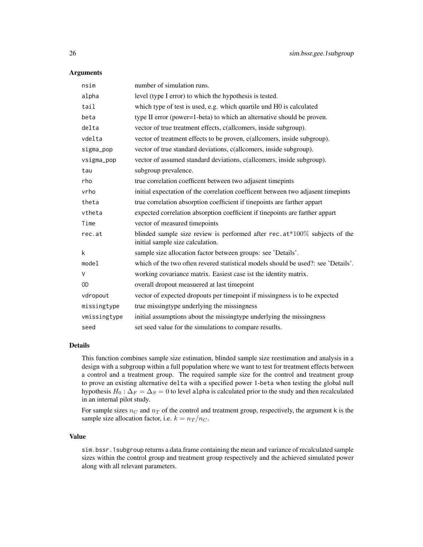#### **Arguments**

| nsim         | number of simulation runs.                                                                                    |
|--------------|---------------------------------------------------------------------------------------------------------------|
| alpha        | level (type I error) to which the hypothesis is tested.                                                       |
| tail         | which type of test is used, e.g. which quartile und H0 is calculated                                          |
| beta         | type II error (power=1-beta) to which an alternative should be proven.                                        |
| delta        | vector of true treatment effects, c(allcomers, inside subgroup).                                              |
| vdelta       | vector of treatment effects to be proven, c(allcomers, inside subgroup).                                      |
| sigma_pop    | vector of true standard deviations, c(allcomers, inside subgroup).                                            |
| vsigma_pop   | vector of assumed standard deviations, c(allcomers, inside subgroup).                                         |
| tau          | subgroup prevalence.                                                                                          |
| rho          | true correlation coefficent between two adjasent timepints                                                    |
| vrho         | initial expectation of the correlation coefficent between two adjasent timepints                              |
| theta        | true correlation absorption coefficient if tinepoints are farther appart                                      |
| vtheta       | expected correlation absorption coefficient if tinepoints are farther appart                                  |
| Time         | vector of measured timepoints                                                                                 |
| rec.at       | blinded sample size review is performed after rec.at*100% subjects of the<br>initial sample size calculation. |
| k            | sample size allocation factor between groups: see 'Details'.                                                  |
| model        | which of the two often revered statistical models should be used?: see 'Details'.                             |
| V            | working covariance matrix. Easiest case ist the identity matrix.                                              |
| 0D           | overall dropout measuered at last timepoint                                                                   |
| vdropout     | vector of expected dropouts per timepoint if missingness is to be expected                                    |
| missingtype  | true missing type underlying the missingness                                                                  |
| vmissingtype | initial assumptions about the missingtype underlying the missingness                                          |
| seed         | set seed value for the simulations to compare resutlts.                                                       |

# Details

This function combines sample size estimation, blinded sample size reestimation and analysis in a design with a subgroup within a full population where we want to test for treatment effects between a control and a treatment group. The required sample size for the control and treatment group to prove an existing alternative delta with a specified power 1-beta when testing the global null hypothesis  $H_0$ :  $\Delta_F = \Delta_S = 0$  to level alpha is calculated prior to the study and then recalculated in an internal pilot study.

For sample sizes  $n_C$  and  $n_T$  of the control and treatment group, respectively, the argument k is the sample size allocation factor, i.e.  $k = n_T / n_C$ .

# Value

sim.bssr.1subgroup returns a data.frame containing the mean and variance of recalculated sample sizes within the control group and treatment group respectively and the achieved simulated power along with all relevant parameters.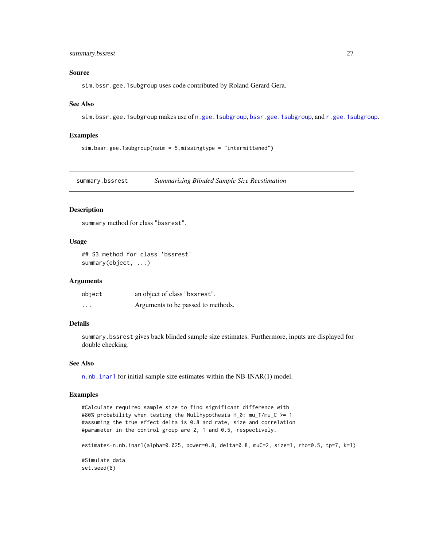# <span id="page-26-0"></span>summary.bssrest 27

#### Source

sim.bssr.gee.1subgroup uses code contributed by Roland Gerard Gera.

#### See Also

sim.bssr.gee.1subgroup makes use of [n.gee.1subgroup](#page-11-1), [bssr.gee.1subgroup](#page-3-1), and [r.gee.1subgroup](#page-15-1).

#### Examples

sim.bssr.gee.1subgroup(nsim = 5,missingtype = "intermittened")

<span id="page-26-1"></span>summary.bssrest *Summarizing Blinded Sample Size Reestimation*

# Description

summary method for class "bssrest".

# Usage

## S3 method for class 'bssrest' summary(object, ...)

# Arguments

| object   | an object of class "bssrest".      |
|----------|------------------------------------|
| $\cdots$ | Arguments to be passed to methods. |

# Details

summary.bssrest gives back blinded sample size estimates. Furthermore, inputs are displayed for double checking.

#### See Also

[n.nb.inar1](#page-13-1) for initial sample size estimates within the NB-INAR(1) model.

#### Examples

```
#Calculate required sample size to find significant difference with
#80% probability when testing the Nullhypothesis H_0: mu_T/mu_C >= 1
#assuming the true effect delta is 0.8 and rate, size and correlation
#parameter in the control group are 2, 1 and 0.5, respectively.
estimate<-n.nb.inar1(alpha=0.025, power=0.8, delta=0.8, muC=2, size=1, rho=0.5, tp=7, k=1)
#Simulate data
set.seed(8)
```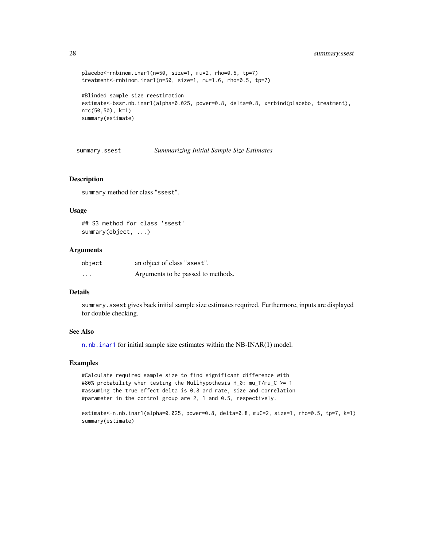```
placebo<-rnbinom.inar1(n=50, size=1, mu=2, rho=0.5, tp=7)
treatment<-rnbinom.inar1(n=50, size=1, mu=1.6, rho=0.5, tp=7)
#Blinded sample size reestimation
estimate<-bssr.nb.inar1(alpha=0.025, power=0.8, delta=0.8, x=rbind(placebo, treatment),
n=c(50,50), k=1)
summary(estimate)
```
summary.ssest *Summarizing Initial Sample Size Estimates*

#### Description

summary method for class "ssest".

# Usage

```
## S3 method for class 'ssest'
summary(object, ...)
```
# Arguments

| object   | an object of class "ssest".        |
|----------|------------------------------------|
| $\cdots$ | Arguments to be passed to methods. |

# Details

summary.ssest gives back initial sample size estimates required. Furthermore, inputs are displayed for double checking.

#### See Also

[n.nb.inar1](#page-13-1) for initial sample size estimates within the NB-INAR(1) model.

#### Examples

#Calculate required sample size to find significant difference with #80% probability when testing the Nullhypothesis H\_0: mu\_T/mu\_C >= 1 #assuming the true effect delta is 0.8 and rate, size and correlation #parameter in the control group are 2, 1 and 0.5, respectively.

```
estimate<-n.nb.inar1(alpha=0.025, power=0.8, delta=0.8, muC=2, size=1, rho=0.5, tp=7, k=1)
summary(estimate)
```
<span id="page-27-0"></span>